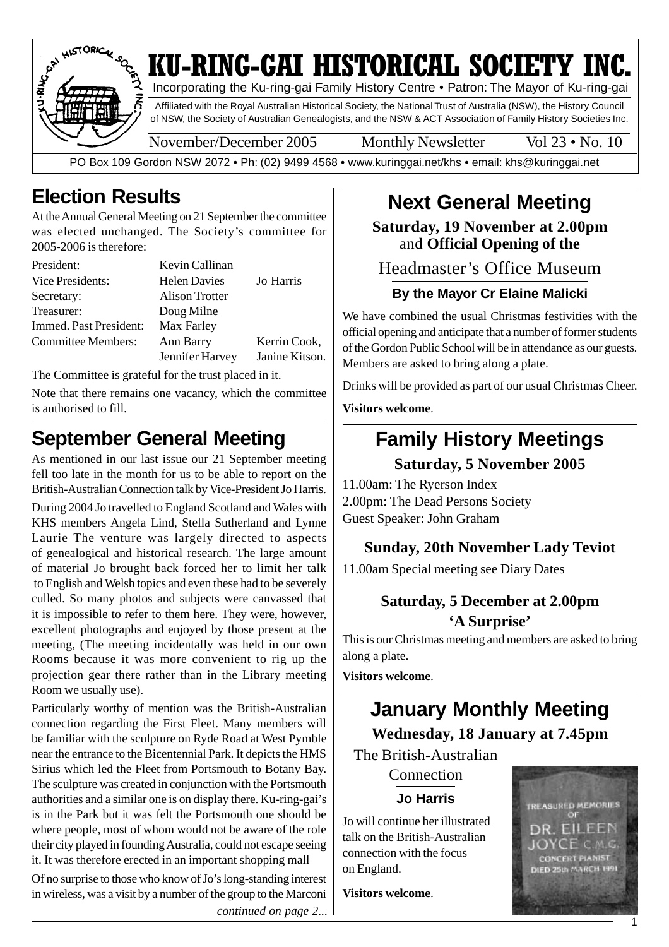

### **Election Results**

At the Annual General Meeting on 21 September the committee was elected unchanged. The Society's committee for 2005-2006 is therefore:

| President:                | Kevin Callinan        |                |
|---------------------------|-----------------------|----------------|
| Vice Presidents:          | <b>Helen Davies</b>   | Jo Harris      |
| Secretary:                | <b>Alison Trotter</b> |                |
| Treasurer:                | Doug Milne            |                |
| Immed. Past President:    | Max Farley            |                |
| <b>Committee Members:</b> | Ann Barry             | Kerrin Cook,   |
|                           | Jennifer Harvey       | Janine Kitson. |

The Committee is grateful for the trust placed in it.

Note that there remains one vacancy, which the committee is authorised to fill.

#### **September General Meeting**

As mentioned in our last issue our 21 September meeting fell too late in the month for us to be able to report on the British-Australian Connection talk by Vice-President Jo Harris.

During 2004 Jo travelled to England Scotland and Wales with KHS members Angela Lind, Stella Sutherland and Lynne Laurie The venture was largely directed to aspects of genealogical and historical research. The large amount of material Jo brought back forced her to limit her talk to English and Welsh topics and even these had to be severely culled. So many photos and subjects were canvassed that it is impossible to refer to them here. They were, however, excellent photographs and enjoyed by those present at the meeting, (The meeting incidentally was held in our own Rooms because it was more convenient to rig up the projection gear there rather than in the Library meeting Room we usually use).

Particularly worthy of mention was the British-Australian connection regarding the First Fleet. Many members will be familiar with the sculpture on Ryde Road at West Pymble near the entrance to the Bicentennial Park. It depicts the HMS Sirius which led the Fleet from Portsmouth to Botany Bay. The sculpture was created in conjunction with the Portsmouth authorities and a similar one is on display there. Ku-ring-gai's is in the Park but it was felt the Portsmouth one should be where people, most of whom would not be aware of the role their city played in founding Australia, could not escape seeing it. It was therefore erected in an important shopping mall

Of no surprise to those who know of Jo's long-standing interest in wireless, was a visit by a number of the group to the Marconi *continued on page 2...*

### **Next General Meeting**

**Saturday, 19 November at 2.00pm** and **Official Opening of the**

Headmaster's Office Museum

#### **By the Mayor Cr Elaine Malicki**

We have combined the usual Christmas festivities with the official opening and anticipate that a number of former students of the Gordon Public School will be in attendance as our guests. Members are asked to bring along a plate.

Drinks will be provided as part of our usual Christmas Cheer.

**Visitors welcome**.

# **Family History Meetings**

**Saturday, 5 November 2005**

11.00am: The Ryerson Index 2.00pm: The Dead Persons Society Guest Speaker: John Graham

#### **Sunday, 20th November Lady Teviot**

11.00am Special meeting see Diary Dates

#### **Saturday, 5 December at 2.00pm 'A Surprise'**

This is our Christmas meeting and members are asked to bring along a plate.

**Visitors welcome**.

#### **January Monthly Meeting Wednesday, 18 January at 7.45pm**

The British-Australian

Connection **Jo Harris**

Jo will continue her illustrated talk on the British-Australian connection with the focus on England.

**Visitors welcome**.



1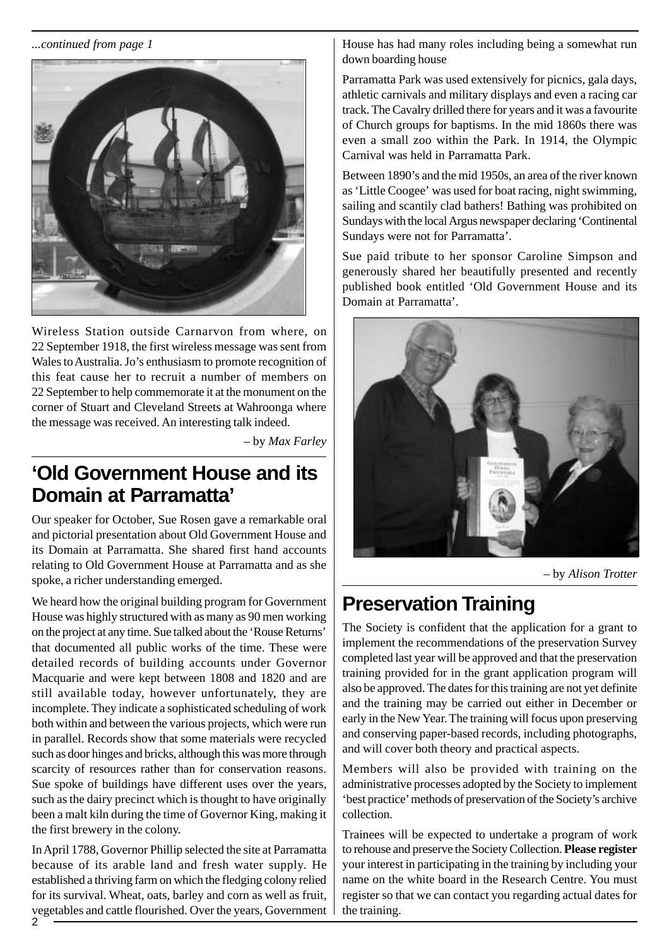*...continued from page 1*



Wireless Station outside Carnarvon from where, on 22 September 1918, the first wireless message was sent from Wales to Australia. Jo's enthusiasm to promote recognition of this feat cause her to recruit a number of members on 22 September to help commemorate it at the monument on the corner of Stuart and Cleveland Streets at Wahroonga where the message was received. An interesting talk indeed.

– by *Max Farley*

#### **'Old Government House and its Domain at Parramatta'**

Our speaker for October, Sue Rosen gave a remarkable oral and pictorial presentation about Old Government House and its Domain at Parramatta. She shared first hand accounts relating to Old Government House at Parramatta and as she spoke, a richer understanding emerged.

We heard how the original building program for Government House was highly structured with as many as 90 men working on the project at any time. Sue talked about the 'Rouse Returns' that documented all public works of the time. These were detailed records of building accounts under Governor Macquarie and were kept between 1808 and 1820 and are still available today, however unfortunately, they are incomplete. They indicate a sophisticated scheduling of work both within and between the various projects, which were run in parallel. Records show that some materials were recycled such as door hinges and bricks, although this was more through scarcity of resources rather than for conservation reasons. Sue spoke of buildings have different uses over the years, such as the dairy precinct which is thought to have originally been a malt kiln during the time of Governor King, making it the first brewery in the colony.

In April 1788, Governor Phillip selected the site at Parramatta because of its arable land and fresh water supply. He established a thriving farm on which the fledging colony relied for its survival. Wheat, oats, barley and corn as well as fruit, vegetables and cattle flourished. Over the years, Government House has had many roles including being a somewhat run down boarding house

Parramatta Park was used extensively for picnics, gala days, athletic carnivals and military displays and even a racing car track. The Cavalry drilled there for years and it was a favourite of Church groups for baptisms. In the mid 1860s there was even a small zoo within the Park. In 1914, the Olympic Carnival was held in Parramatta Park.

Between 1890's and the mid 1950s, an area of the river known as 'Little Coogee' was used for boat racing, night swimming, sailing and scantily clad bathers! Bathing was prohibited on Sundays with the local Argus newspaper declaring 'Continental Sundays were not for Parramatta'.

Sue paid tribute to her sponsor Caroline Simpson and generously shared her beautifully presented and recently published book entitled 'Old Government House and its Domain at Parramatta'.



– by *Alison Trotter*

## **Preservation Training**

The Society is confident that the application for a grant to implement the recommendations of the preservation Survey completed last year will be approved and that the preservation training provided for in the grant application program will also be approved. The dates for this training are not yet definite and the training may be carried out either in December or early in the New Year. The training will focus upon preserving and conserving paper-based records, including photographs, and will cover both theory and practical aspects.

Members will also be provided with training on the administrative processes adopted by the Society to implement 'best practice' methods of preservation of the Society's archive collection.

Trainees will be expected to undertake a program of work to rehouse and preserve the Society Collection. **Please register** your interest in participating in the training by including your name on the white board in the Research Centre. You must register so that we can contact you regarding actual dates for the training.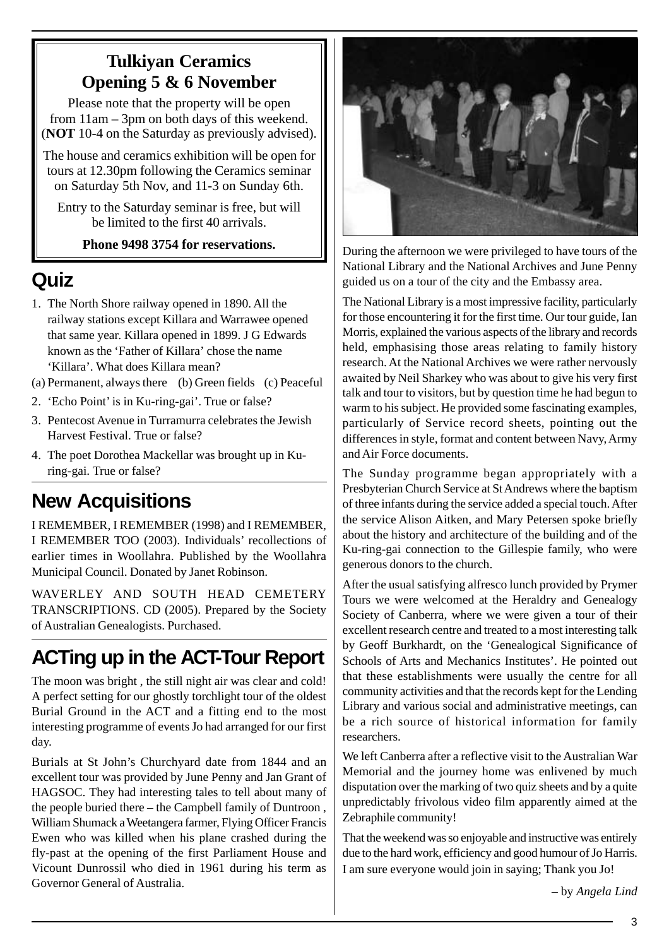#### **Tulkiyan Ceramics Opening 5 & 6 November**

Please note that the property will be open from 11am – 3pm on both days of this weekend. (**NOT** 10-4 on the Saturday as previously advised).

The house and ceramics exhibition will be open for tours at 12.30pm following the Ceramics seminar on Saturday 5th Nov, and 11-3 on Sunday 6th.

Entry to the Saturday seminar is free, but will be limited to the first 40 arrivals.

#### **Phone 9498 3754 for reservations.**

#### **Quiz**

- 1. The North Shore railway opened in 1890. All the railway stations except Killara and Warrawee opened that same year. Killara opened in 1899. J G Edwards known as the 'Father of Killara' chose the name 'Killara'. What does Killara mean?
- (a) Permanent, always there (b) Green fields (c) Peaceful
- 2. 'Echo Point' is in Ku-ring-gai'. True or false?
- 3. Pentecost Avenue in Turramurra celebrates the Jewish Harvest Festival. True or false?
- 4. The poet Dorothea Mackellar was brought up in Kuring-gai. True or false?

## **New Acquisitions**

I REMEMBER, I REMEMBER (1998) and I REMEMBER, I REMEMBER TOO (2003). Individuals' recollections of earlier times in Woollahra. Published by the Woollahra Municipal Council. Donated by Janet Robinson.

WAVERLEY AND SOUTH HEAD CEMETERY TRANSCRIPTIONS. CD (2005). Prepared by the Society of Australian Genealogists. Purchased.

## **ACTing up in the ACT-Tour Report**

The moon was bright , the still night air was clear and cold! A perfect setting for our ghostly torchlight tour of the oldest Burial Ground in the ACT and a fitting end to the most interesting programme of events Jo had arranged for our first day.

Burials at St John's Churchyard date from 1844 and an excellent tour was provided by June Penny and Jan Grant of HAGSOC. They had interesting tales to tell about many of the people buried there – the Campbell family of Duntroon , William Shumack a Weetangera farmer, Flying Officer Francis Ewen who was killed when his plane crashed during the fly-past at the opening of the first Parliament House and Vicount Dunrossil who died in 1961 during his term as Governor General of Australia.



During the afternoon we were privileged to have tours of the National Library and the National Archives and June Penny guided us on a tour of the city and the Embassy area.

The National Library is a most impressive facility, particularly for those encountering it for the first time. Our tour guide, Ian Morris, explained the various aspects of the library and records held, emphasising those areas relating to family history research. At the National Archives we were rather nervously awaited by Neil Sharkey who was about to give his very first talk and tour to visitors, but by question time he had begun to warm to his subject. He provided some fascinating examples, particularly of Service record sheets, pointing out the differences in style, format and content between Navy, Army and Air Force documents.

The Sunday programme began appropriately with a Presbyterian Church Service at St Andrews where the baptism of three infants during the service added a special touch. After the service Alison Aitken, and Mary Petersen spoke briefly about the history and architecture of the building and of the Ku-ring-gai connection to the Gillespie family, who were generous donors to the church.

After the usual satisfying alfresco lunch provided by Prymer Tours we were welcomed at the Heraldry and Genealogy Society of Canberra, where we were given a tour of their excellent research centre and treated to a most interesting talk by Geoff Burkhardt, on the 'Genealogical Significance of Schools of Arts and Mechanics Institutes'. He pointed out that these establishments were usually the centre for all community activities and that the records kept for the Lending Library and various social and administrative meetings, can be a rich source of historical information for family researchers.

We left Canberra after a reflective visit to the Australian War Memorial and the journey home was enlivened by much disputation over the marking of two quiz sheets and by a quite unpredictably frivolous video film apparently aimed at the Zebraphile community!

That the weekend was so enjoyable and instructive was entirely due to the hard work, efficiency and good humour of Jo Harris. I am sure everyone would join in saying; Thank you Jo!

– by *Angela Lind*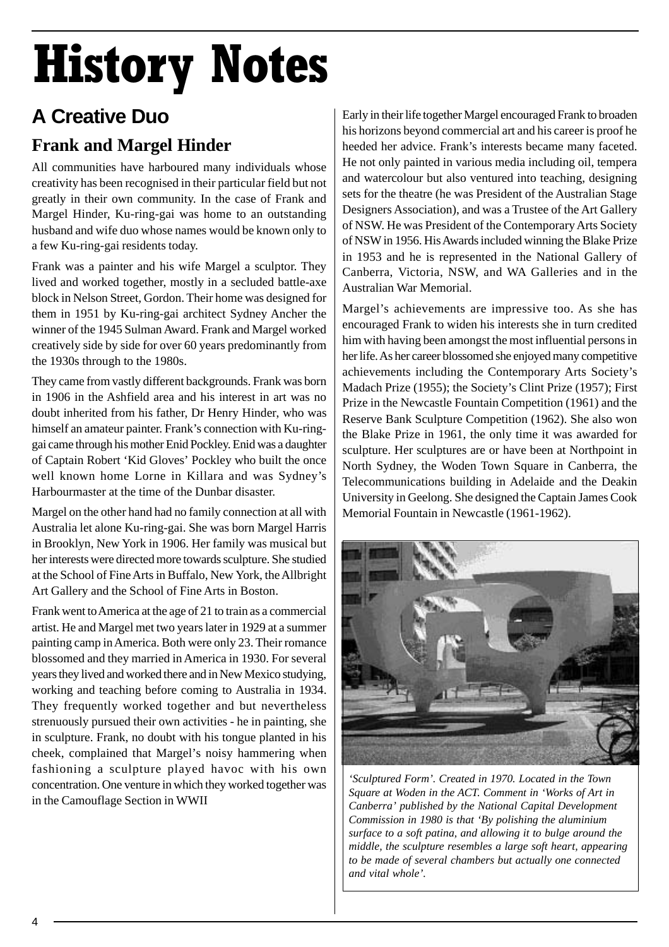# History Notes

## **A Creative Duo**

#### **Frank and Margel Hinder**

All communities have harboured many individuals whose creativity has been recognised in their particular field but not greatly in their own community. In the case of Frank and Margel Hinder, Ku-ring-gai was home to an outstanding husband and wife duo whose names would be known only to a few Ku-ring-gai residents today.

Frank was a painter and his wife Margel a sculptor. They lived and worked together, mostly in a secluded battle-axe block in Nelson Street, Gordon. Their home was designed for them in 1951 by Ku-ring-gai architect Sydney Ancher the winner of the 1945 Sulman Award. Frank and Margel worked creatively side by side for over 60 years predominantly from the 1930s through to the 1980s.

They came from vastly different backgrounds. Frank was born in 1906 in the Ashfield area and his interest in art was no doubt inherited from his father, Dr Henry Hinder, who was himself an amateur painter. Frank's connection with Ku-ringgai came through his mother Enid Pockley. Enid was a daughter of Captain Robert 'Kid Gloves' Pockley who built the once well known home Lorne in Killara and was Sydney's Harbourmaster at the time of the Dunbar disaster.

Margel on the other hand had no family connection at all with Australia let alone Ku-ring-gai. She was born Margel Harris in Brooklyn, New York in 1906. Her family was musical but her interests were directed more towards sculpture. She studied at the School of Fine Arts in Buffalo, New York, the Allbright Art Gallery and the School of Fine Arts in Boston.

Frank went to America at the age of 21 to train as a commercial artist. He and Margel met two years later in 1929 at a summer painting camp in America. Both were only 23. Their romance blossomed and they married in America in 1930. For several years they lived and worked there and in New Mexico studying, working and teaching before coming to Australia in 1934. They frequently worked together and but nevertheless strenuously pursued their own activities - he in painting, she in sculpture. Frank, no doubt with his tongue planted in his cheek, complained that Margel's noisy hammering when fashioning a sculpture played havoc with his own concentration. One venture in which they worked together was in the Camouflage Section in WWII

Early in their life together Margel encouraged Frank to broaden his horizons beyond commercial art and his career is proof he heeded her advice. Frank's interests became many faceted. He not only painted in various media including oil, tempera and watercolour but also ventured into teaching, designing sets for the theatre (he was President of the Australian Stage Designers Association), and was a Trustee of the Art Gallery of NSW. He was President of the Contemporary Arts Society of NSW in 1956. His Awards included winning the Blake Prize in 1953 and he is represented in the National Gallery of Canberra, Victoria, NSW, and WA Galleries and in the Australian War Memorial.

Margel's achievements are impressive too. As she has encouraged Frank to widen his interests she in turn credited him with having been amongst the most influential persons in her life. As her career blossomed she enjoyed many competitive achievements including the Contemporary Arts Society's Madach Prize (1955); the Society's Clint Prize (1957); First Prize in the Newcastle Fountain Competition (1961) and the Reserve Bank Sculpture Competition (1962). She also won the Blake Prize in 1961, the only time it was awarded for sculpture. Her sculptures are or have been at Northpoint in North Sydney, the Woden Town Square in Canberra, the Telecommunications building in Adelaide and the Deakin University in Geelong. She designed the Captain James Cook Memorial Fountain in Newcastle (1961-1962).



*'Sculptured Form'. Created in 1970. Located in the Town Square at Woden in the ACT. Comment in 'Works of Art in Canberra' published by the National Capital Development Commission in 1980 is that 'By polishing the aluminium surface to a soft patina, and allowing it to bulge around the middle, the sculpture resembles a large soft heart, appearing to be made of several chambers but actually one connected and vital whole'.*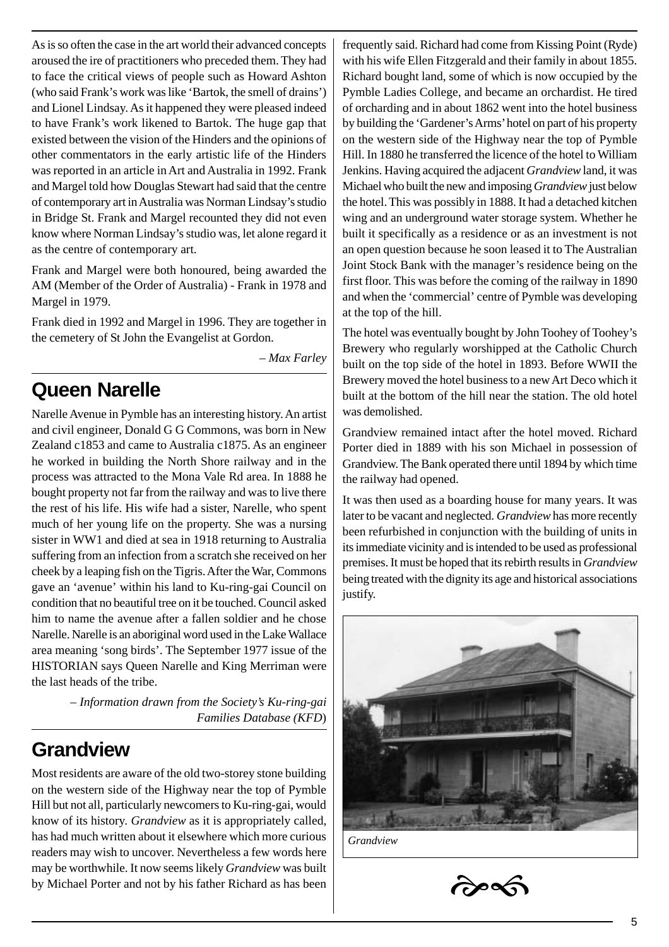As is so often the case in the art world their advanced concepts aroused the ire of practitioners who preceded them. They had to face the critical views of people such as Howard Ashton (who said Frank's work was like 'Bartok, the smell of drains') and Lionel Lindsay. As it happened they were pleased indeed to have Frank's work likened to Bartok. The huge gap that existed between the vision of the Hinders and the opinions of other commentators in the early artistic life of the Hinders was reported in an article in Art and Australia in 1992. Frank and Margel told how Douglas Stewart had said that the centre of contemporary art in Australia was Norman Lindsay's studio in Bridge St. Frank and Margel recounted they did not even know where Norman Lindsay's studio was, let alone regard it as the centre of contemporary art.

Frank and Margel were both honoured, being awarded the AM (Member of the Order of Australia) - Frank in 1978 and Margel in 1979.

Frank died in 1992 and Margel in 1996. They are together in the cemetery of St John the Evangelist at Gordon.

– *Max Farley*

#### **Queen Narelle**

Narelle Avenue in Pymble has an interesting history. An artist and civil engineer, Donald G G Commons, was born in New Zealand c1853 and came to Australia c1875. As an engineer he worked in building the North Shore railway and in the process was attracted to the Mona Vale Rd area. In 1888 he bought property not far from the railway and was to live there the rest of his life. His wife had a sister, Narelle, who spent much of her young life on the property. She was a nursing sister in WW1 and died at sea in 1918 returning to Australia suffering from an infection from a scratch she received on her cheek by a leaping fish on the Tigris. After the War, Commons gave an 'avenue' within his land to Ku-ring-gai Council on condition that no beautiful tree on it be touched. Council asked him to name the avenue after a fallen soldier and he chose Narelle. Narelle is an aboriginal word used in the Lake Wallace area meaning 'song birds'. The September 1977 issue of the HISTORIAN says Queen Narelle and King Merriman were the last heads of the tribe.

> – *Information drawn from the Society's Ku-ring-gai Families Database (KFD*)

#### **Grandview**

Most residents are aware of the old two-storey stone building on the western side of the Highway near the top of Pymble Hill but not all, particularly newcomers to Ku-ring-gai, would know of its history. *Grandview* as it is appropriately called, has had much written about it elsewhere which more curious readers may wish to uncover. Nevertheless a few words here may be worthwhile. It now seems likely *Grandview* was built by Michael Porter and not by his father Richard as has been frequently said. Richard had come from Kissing Point (Ryde) with his wife Ellen Fitzgerald and their family in about 1855. Richard bought land, some of which is now occupied by the Pymble Ladies College, and became an orchardist. He tired of orcharding and in about 1862 went into the hotel business by building the 'Gardener's Arms' hotel on part of his property on the western side of the Highway near the top of Pymble Hill. In 1880 he transferred the licence of the hotel to William Jenkins. Having acquired the adjacent *Grandview* land, it was Michael who built the new and imposing *Grandview* just below the hotel. This was possibly in 1888. It had a detached kitchen wing and an underground water storage system. Whether he built it specifically as a residence or as an investment is not an open question because he soon leased it to The Australian Joint Stock Bank with the manager's residence being on the first floor. This was before the coming of the railway in 1890 and when the 'commercial' centre of Pymble was developing at the top of the hill.

The hotel was eventually bought by John Toohey of Toohey's Brewery who regularly worshipped at the Catholic Church built on the top side of the hotel in 1893. Before WWII the Brewery moved the hotel business to a new Art Deco which it built at the bottom of the hill near the station. The old hotel was demolished.

Grandview remained intact after the hotel moved. Richard Porter died in 1889 with his son Michael in possession of Grandview. The Bank operated there until 1894 by which time the railway had opened.

It was then used as a boarding house for many years. It was later to be vacant and neglected. *Grandview* has more recently been refurbished in conjunction with the building of units in its immediate vicinity and is intended to be used as professional premises. It must be hoped that its rebirth results in *Grandview* being treated with the dignity its age and historical associations justify.





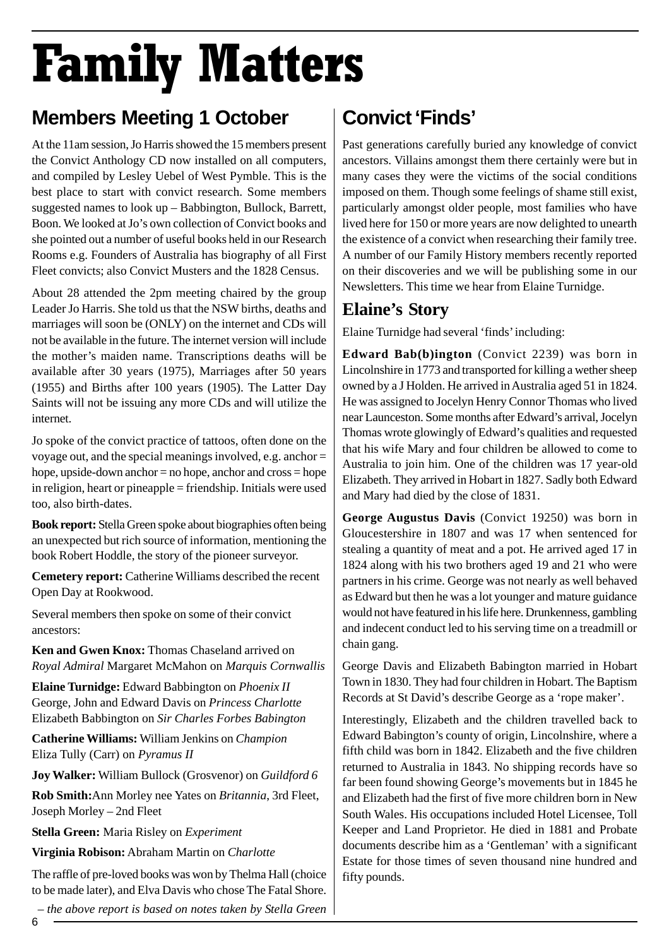# Family Matters

## **Members Meeting 1 October**

At the 11am session, Jo Harris showed the 15 members present the Convict Anthology CD now installed on all computers, and compiled by Lesley Uebel of West Pymble. This is the best place to start with convict research. Some members suggested names to look up – Babbington, Bullock, Barrett, Boon. We looked at Jo's own collection of Convict books and she pointed out a number of useful books held in our Research Rooms e.g. Founders of Australia has biography of all First Fleet convicts; also Convict Musters and the 1828 Census.

About 28 attended the 2pm meeting chaired by the group Leader Jo Harris. She told us that the NSW births, deaths and marriages will soon be (ONLY) on the internet and CDs will not be available in the future. The internet version will include the mother's maiden name. Transcriptions deaths will be available after 30 years (1975), Marriages after 50 years (1955) and Births after 100 years (1905). The Latter Day Saints will not be issuing any more CDs and will utilize the internet.

Jo spoke of the convict practice of tattoos, often done on the voyage out, and the special meanings involved, e.g. anchor = hope, upside-down anchor = no hope, anchor and cross = hope in religion, heart or pineapple = friendship. Initials were used too, also birth-dates.

**Book report:** Stella Green spoke about biographies often being an unexpected but rich source of information, mentioning the book Robert Hoddle, the story of the pioneer surveyor.

**Cemetery report:** Catherine Williams described the recent Open Day at Rookwood.

Several members then spoke on some of their convict ancestors:

**Ken and Gwen Knox:** Thomas Chaseland arrived on *Royal Admiral* Margaret McMahon on *Marquis Cornwallis*

**Elaine Turnidge:** Edward Babbington on *Phoenix II* George, John and Edward Davis on *Princess Charlotte* Elizabeth Babbington on *Sir Charles Forbes Babington*

**Catherine Williams:** William Jenkins on *Champion* Eliza Tully (Carr) on *Pyramus II*

**Joy Walker:** William Bullock (Grosvenor) on *Guildford 6*

**Rob Smith:**Ann Morley nee Yates on *Britannia*, 3rd Fleet, Joseph Morley – 2nd Fleet

**Stella Green:** Maria Risley on *Experiment*

**Virginia Robison:** Abraham Martin on *Charlotte*

The raffle of pre-loved books was won by Thelma Hall (choice to be made later), and Elva Davis who chose The Fatal Shore.

*– the above report is based on notes taken by Stella Green*

## **Convict 'Finds'**

Past generations carefully buried any knowledge of convict ancestors. Villains amongst them there certainly were but in many cases they were the victims of the social conditions imposed on them. Though some feelings of shame still exist, particularly amongst older people, most families who have lived here for 150 or more years are now delighted to unearth the existence of a convict when researching their family tree. A number of our Family History members recently reported on their discoveries and we will be publishing some in our Newsletters. This time we hear from Elaine Turnidge.

#### **Elaine's Story**

Elaine Turnidge had several 'finds' including:

**Edward Bab(b)ington** (Convict 2239) was born in Lincolnshire in 1773 and transported for killing a wether sheep owned by a J Holden. He arrived in Australia aged 51 in 1824. He was assigned to Jocelyn Henry Connor Thomas who lived near Launceston. Some months after Edward's arrival, Jocelyn Thomas wrote glowingly of Edward's qualities and requested that his wife Mary and four children be allowed to come to Australia to join him. One of the children was 17 year-old Elizabeth. They arrived in Hobart in 1827. Sadly both Edward and Mary had died by the close of 1831.

**George Augustus Davis** (Convict 19250) was born in Gloucestershire in 1807 and was 17 when sentenced for stealing a quantity of meat and a pot. He arrived aged 17 in 1824 along with his two brothers aged 19 and 21 who were partners in his crime. George was not nearly as well behaved as Edward but then he was a lot younger and mature guidance would not have featured in his life here. Drunkenness, gambling and indecent conduct led to his serving time on a treadmill or chain gang.

George Davis and Elizabeth Babington married in Hobart Town in 1830. They had four children in Hobart. The Baptism Records at St David's describe George as a 'rope maker'.

Interestingly, Elizabeth and the children travelled back to Edward Babington's county of origin, Lincolnshire, where a fifth child was born in 1842. Elizabeth and the five children returned to Australia in 1843. No shipping records have so far been found showing George's movements but in 1845 he and Elizabeth had the first of five more children born in New South Wales. His occupations included Hotel Licensee, Toll Keeper and Land Proprietor. He died in 1881 and Probate documents describe him as a 'Gentleman' with a significant Estate for those times of seven thousand nine hundred and fifty pounds.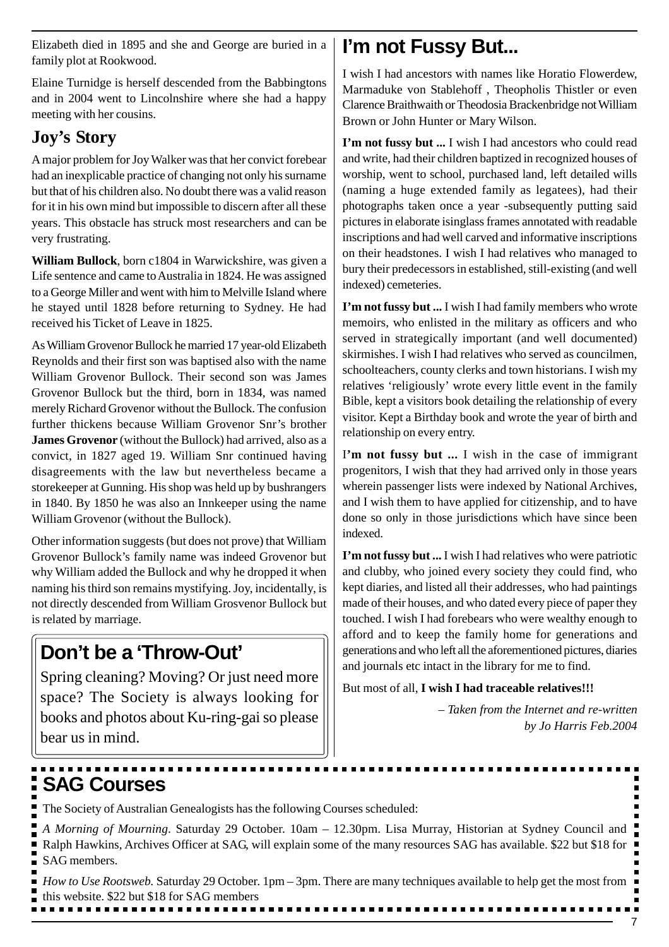Elizabeth died in 1895 and she and George are buried in a family plot at Rookwood.

Elaine Turnidge is herself descended from the Babbingtons and in 2004 went to Lincolnshire where she had a happy meeting with her cousins.

#### **Joy's Story**

A major problem for Joy Walker was that her convict forebear had an inexplicable practice of changing not only his surname but that of his children also. No doubt there was a valid reason for it in his own mind but impossible to discern after all these years. This obstacle has struck most researchers and can be very frustrating.

**William Bullock**, born c1804 in Warwickshire, was given a Life sentence and came to Australia in 1824. He was assigned to a George Miller and went with him to Melville Island where he stayed until 1828 before returning to Sydney. He had received his Ticket of Leave in 1825.

As William Grovenor Bullock he married 17 year-old Elizabeth Reynolds and their first son was baptised also with the name William Grovenor Bullock. Their second son was James Grovenor Bullock but the third, born in 1834, was named merely Richard Grovenor without the Bullock. The confusion further thickens because William Grovenor Snr's brother **James Grovenor** (without the Bullock) had arrived, also as a convict, in 1827 aged 19. William Snr continued having disagreements with the law but nevertheless became a storekeeper at Gunning. His shop was held up by bushrangers in 1840. By 1850 he was also an Innkeeper using the name William Grovenor (without the Bullock).

Other information suggests (but does not prove) that William Grovenor Bullock's family name was indeed Grovenor but why William added the Bullock and why he dropped it when naming his third son remains mystifying. Joy, incidentally, is not directly descended from William Grosvenor Bullock but is related by marriage.

#### **Don't be a 'Throw-Out'**

Spring cleaning? Moving? Or just need more space? The Society is always looking for books and photos about Ku-ring-gai so please bear us in mind.

## **I'm not Fussy But...**

I wish I had ancestors with names like Horatio Flowerdew, Marmaduke von Stablehoff , Theopholis Thistler or even Clarence Braithwaith or Theodosia Brackenbridge not William Brown or John Hunter or Mary Wilson.

**I'm not fussy but ...** I wish I had ancestors who could read and write, had their children baptized in recognized houses of worship, went to school, purchased land, left detailed wills (naming a huge extended family as legatees), had their photographs taken once a year -subsequently putting said pictures in elaborate isinglass frames annotated with readable inscriptions and had well carved and informative inscriptions on their headstones. I wish I had relatives who managed to bury their predecessors in established, still-existing (and well indexed) cemeteries.

**I'm not fussy but ...** I wish I had family members who wrote memoirs, who enlisted in the military as officers and who served in strategically important (and well documented) skirmishes. I wish I had relatives who served as councilmen, schoolteachers, county clerks and town historians. I wish my relatives 'religiously' wrote every little event in the family Bible, kept a visitors book detailing the relationship of every visitor. Kept a Birthday book and wrote the year of birth and relationship on every entry.

I'm not fussy but ... I wish in the case of immigrant progenitors, I wish that they had arrived only in those years wherein passenger lists were indexed by National Archives, and I wish them to have applied for citizenship, and to have done so only in those jurisdictions which have since been indexed.

**I'm not fussy but ...** I wish I had relatives who were patriotic and clubby, who joined every society they could find, who kept diaries, and listed all their addresses, who had paintings made of their houses, and who dated every piece of paper they touched. I wish I had forebears who were wealthy enough to afford and to keep the family home for generations and generations and who left all the aforementioned pictures, diaries and journals etc intact in the library for me to find.

But most of all, **I wish I had traceable relatives!!!**

*– Taken from the Internet and re-written by Jo Harris Feb.2004*

## **SAG Courses**

The Society of Australian Genealogists has the following Courses scheduled:

| A Morning of Mourning. Saturday 29 October. 10am – 12.30pm. Lisa Murray, Historian at Sydney Council and             |
|----------------------------------------------------------------------------------------------------------------------|
| Ralph Hawkins, Archives Officer at SAG, will explain some of the many resources SAG has available. \$22 but \$18 for |
| SAG members.                                                                                                         |

*How to Use Rootsweb.* Saturday 29 October. 1pm – 3pm. There are many techniques available to help get the most from this website. \$22 but \$18 for SAG members